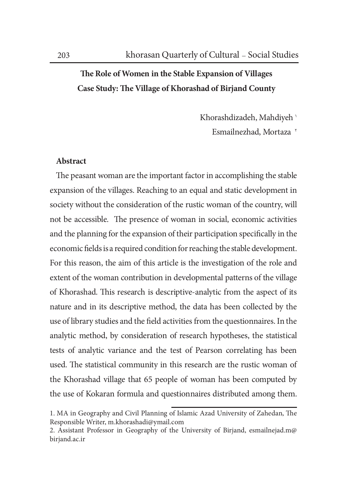## The Role of Women in the Stable Expansion of Villages Case Study: The Village of Khorashad of Birjand County

Khorashdizadeh, Mahdiyeh ' Esmailnezhad, Mortaza<sup>r</sup>

## Abstract

The peasant woman are the important factor in accomplishing the stable expansion of the villages. Reaching to an equal and static development in society without the consideration of the rustic woman of the country, will not be accessible. The presence of woman in social, economic activities and the planning for the expansion of their participation specifically in the economic fields is a required condition for reaching the stable development. For this reason, the aim of this article is the investigation of the role and extent of the woman contribution in developmental patterns of the village of Khorashad. This research is descriptive-analytic from the aspect of its nature and in its descriptive method, the data has been collected by the use of library studies and the field activities from the questionnaires. In the analytic method, by consideration of research hypotheses, the statistical tests of analytic variance and the test of Pearson correlating has been used. The statistical community in this research are the rustic woman of the Khorashad village that 65 people of woman has been computed by the use of Kokaran formula and questionnaires distributed among them.

<sup>1.</sup> MA in Geography and Civil Planning of Islamic Azad University of Zahedan, The Responsible Writer, m.khorashadi@ymail.com

<sup>2.</sup> Assistant Professor in Geography of the University of Birjand, esmailnejad.m@ birjand.ac.ir